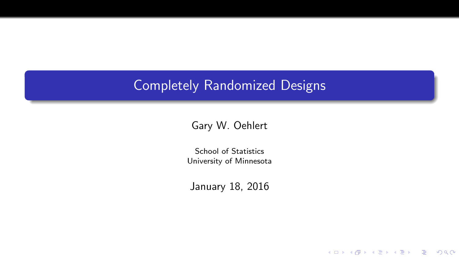## Completely Randomized Designs

#### Gary W. Oehlert

School of Statistics University of Minnesota

January 18, 2016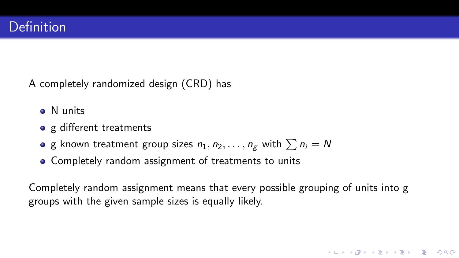A completely randomized design (CRD) has

- <sup>o</sup> N units
- o g different treatments
- **•** g known treatment group sizes  $n_1, n_2, \ldots, n_g$  with  $\sum n_i = N$
- Completely random assignment of treatments to units

Completely random assignment means that every possible grouping of units into g groups with the given sample sizes is equally likely.

**KORKARRA ERKER EL POLO**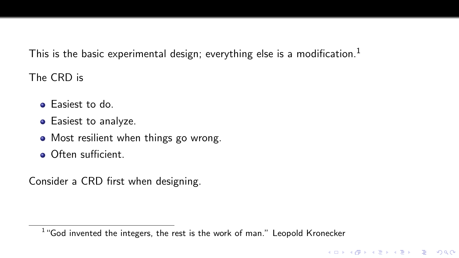This is the basic experimental design; everything else is a modification.<sup>1</sup>

The CRD is

- **•** Easiest to do.
- **•** Easiest to analyze.
- Most resilient when things go wrong.
- **Often sufficient.**

Consider a CRD first when designing.

 $1$  "God invented the integers, the rest is the work of man." Leopold Kronecker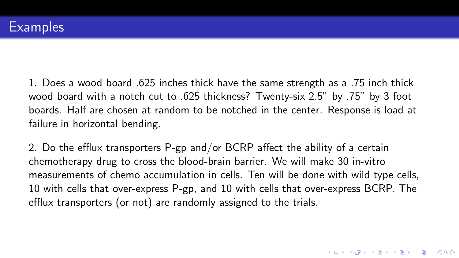1. Does a wood board .625 inches thick have the same strength as a .75 inch thick wood board with a notch cut to .625 thickness? Twenty-six 2.5" by .75" by 3 foot boards. Half are chosen at random to be notched in the center. Response is load at failure in horizontal bending.

2. Do the efflux transporters P-gp and/or BCRP affect the ability of a certain chemotherapy drug to cross the blood-brain barrier. We will make 30 in-vitro measurements of chemo accumulation in cells. Ten will be done with wild type cells, 10 with cells that over-express P-gp, and 10 with cells that over-express BCRP. The efflux transporters (or not) are randomly assigned to the trials.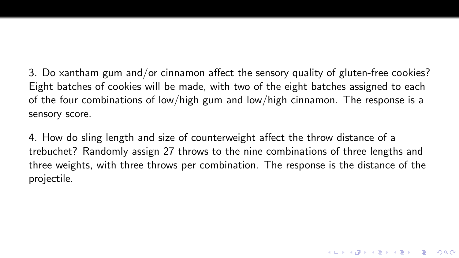3. Do xantham gum and/or cinnamon affect the sensory quality of gluten-free cookies? Eight batches of cookies will be made, with two of the eight batches assigned to each of the four combinations of low/high gum and low/high cinnamon. The response is a sensory score.

4. How do sling length and size of counterweight affect the throw distance of a trebuchet? Randomly assign 27 throws to the nine combinations of three lengths and three weights, with three throws per combination. The response is the distance of the projectile.

K ロ ▶ K @ ▶ K 할 X X 할 X | 할 X 1 9 Q Q ^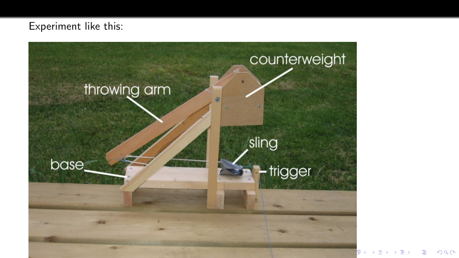#### Experiment like this:



 $299$ ŧ 人居 Ε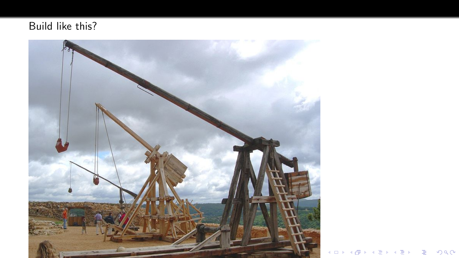### Build like this?



K ロ X (日) X (日) X (日) X (日) X (日) X (日) X (日) X (日) X (日) X (日)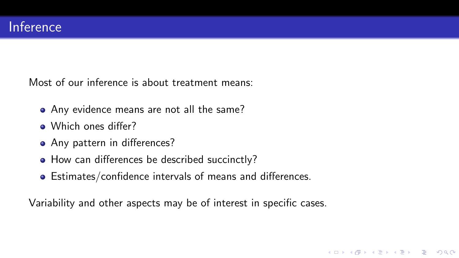Most of our inference is about treatment means:

- Any evidence means are not all the same?
- Which ones differ?
- Any pattern in differences?
- How can differences be described succinctly?
- Estimates/confidence intervals of means and differences.

Variability and other aspects may be of interest in specific cases.

**KED KAP KED KED E LOQO**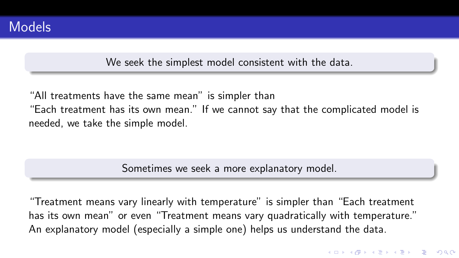We seek the simplest model consistent with the data.

"All treatments have the same mean" is simpler than "Each treatment has its own mean." If we cannot say that the complicated model is needed, we take the simple model.

Sometimes we seek a more explanatory model.

"Treatment means vary linearly with temperature" is simpler than "Each treatment has its own mean" or even "Treatment means vary quadratically with temperature." An explanatory model (especially a simple one) helps us understand the data.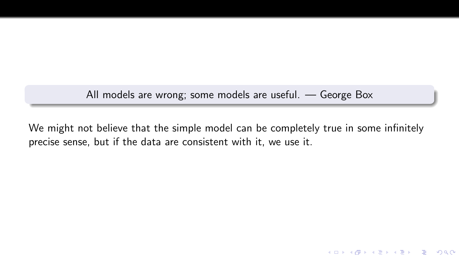All models are wrong; some models are useful. — George Box

We might not believe that the simple model can be completely true in some infinitely precise sense, but if the data are consistent with it, we use it.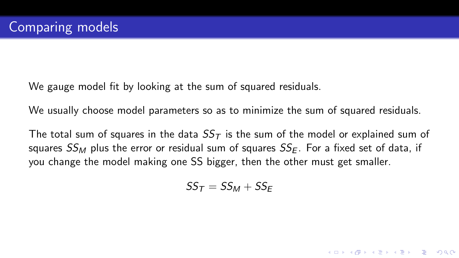We gauge model fit by looking at the sum of squared residuals.

We usually choose model parameters so as to minimize the sum of squared residuals.

The total sum of squares in the data  $SS<sub>T</sub>$  is the sum of the model or explained sum of squares  $SS_M$  plus the error or residual sum of squares  $SS_F$ . For a fixed set of data, if you change the model making one SS bigger, then the other must get smaller.

$$
SS_T = SS_M + SS_E
$$

**KORK STRATER STRAKES**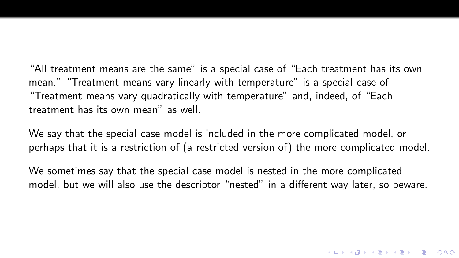"All treatment means are the same" is a special case of "Each treatment has its own mean." "Treatment means vary linearly with temperature" is a special case of "Treatment means vary quadratically with temperature" and, indeed, of "Each treatment has its own mean" as well.

We say that the special case model is included in the more complicated model, or perhaps that it is a restriction of (a restricted version of) the more complicated model.

We sometimes say that the special case model is nested in the more complicated model, but we will also use the descriptor "nested" in a different way later, so beware.

K ロ ▶ K @ ▶ K 할 X X 할 X | 할 X 1 9 Q Q ^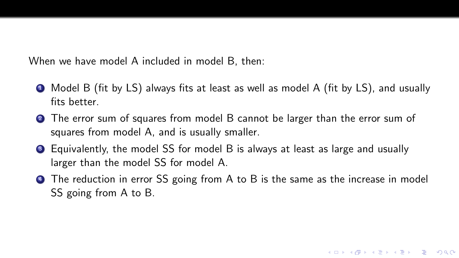When we have model A included in model B, then:

- <sup>1</sup> Model B (fit by LS) always fits at least as well as model A (fit by LS), and usually fits hetter
- <sup>2</sup> The error sum of squares from model B cannot be larger than the error sum of squares from model A, and is usually smaller.
- <sup>3</sup> Equivalently, the model SS for model B is always at least as large and usually larger than the model SS for model A.
- **4** The reduction in error SS going from A to B is the same as the increase in model SS going from A to B.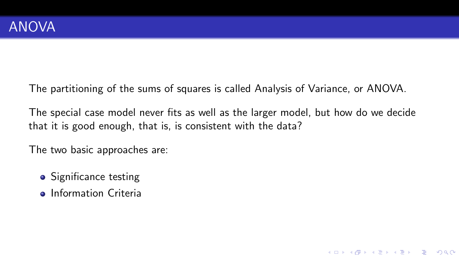The partitioning of the sums of squares is called Analysis of Variance, or ANOVA.

The special case model never fits as well as the larger model, but how do we decide that it is good enough, that is, is consistent with the data?

K ロ ▶ K @ ▶ K 할 ▶ K 할 ▶ | 할 | © 9 Q @

The two basic approaches are:

- Significance testing
- **o** Information Criteria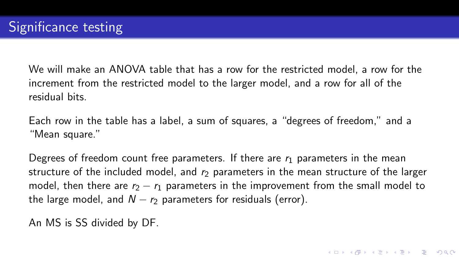We will make an ANOVA table that has a row for the restricted model, a row for the increment from the restricted model to the larger model, and a row for all of the residual bits.

Each row in the table has a label, a sum of squares, a "degrees of freedom," and a "Mean square."

Degrees of freedom count free parameters. If there are  $r_1$  parameters in the mean structure of the included model, and  $r<sub>2</sub>$  parameters in the mean structure of the larger model, then there are  $r_2 - r_1$  parameters in the improvement from the small model to the large model, and  $N - r_2$  parameters for residuals (error).

An MS is SS divided by DF.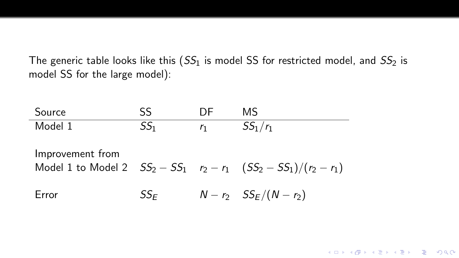The generic table looks like this  $(SS_1$  is model SS for restricted model, and  $SS_2$  is model SS for the large model):

Source SS DF MS Model 1  $SS_1$   $r_1$   $SS_1/r_1$ Improvement from Model 1 to Model 2  $SS_2 - SS_1$   $r_2 - r_1$   $(SS_2 - SS_1)/(r_2 - r_1)$ Error  $SS_F$   $N - r_2$   $SS_F/(N - r_2)$ 

**KED KAP KED KED E LOQO**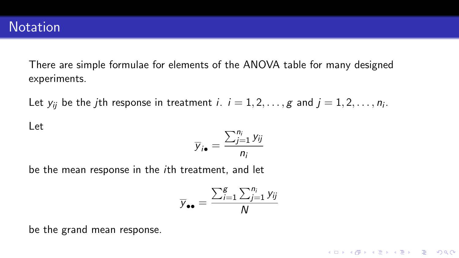There are simple formulae for elements of the ANOVA table for many designed experiments.

Let  $y_{ij}$  be the  $j$ th response in treatment  $i.$   $i=1,2,\ldots,g$  and  $j=1,2,\ldots,n_i.$ 

Let

$$
\overline{y}_{i\bullet} = \frac{\sum_{j=1}^{n_i} y_{ij}}{n_i}
$$

be the mean response in the ith treatment, and let

$$
\overline{y}_{\bullet\bullet} = \frac{\sum_{i=1}^{g} \sum_{j=1}^{n_i} y_{ij}}{N}
$$

K □ ▶ K @ ▶ K 할 ▶ K 할 ▶ | 할 | K 9 Q Q ·

be the grand mean response.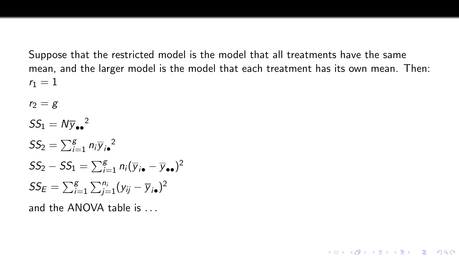Suppose that the restricted model is the model that all treatments have the same mean, and the larger model is the model that each treatment has its own mean. Then:  $r_1 = 1$ 

**KORK STRAIN A BAR SHOP** 

 $r_2 = g$  $SS_1 = N y_{\bullet \bullet}^2$  $SS_2 = \sum_{i=1}^{g} n_i \overline{y}_{i\bullet}^2$  $SS_2 - SS_1 = \sum_{i=1}^{g} n_i (\overline{y}_{i \bullet} - \overline{y}_{\bullet \bullet})^2$  $SS_E = \sum_{i=1}^{g} \sum_{j=1}^{n_i} (y_{ij} - \overline{y}_{i\bullet})^2$ 

and the ANOVA table is ...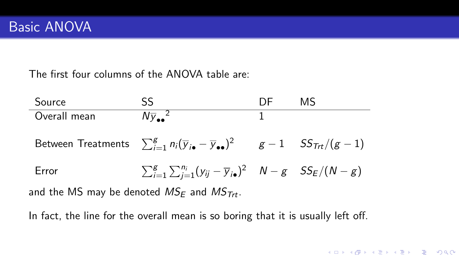The first four columns of the ANOVA table are:

Source SS SS DF MS Overall mean  $N_{\overline{Y}_{\bullet\bullet}^2}^2$  $\frac{2}{1}$ Between Treatments  $\sum_{i=1}^{g} n_i (\overline{y}_{i \bullet} - \overline{y}_{\bullet \bullet})^2$   $g-1$   $SS_{\textit{Trt}}/(g-1)$ Error  $\sum_{i=1}^{g} \sum_{j=1}^{n_i} (y_{ij} - \overline{y}_{i\bullet})^2$   $N - g$   $SS_E/(N - g)$ and the MS may be denoted  $MS_F$  and  $MS_{Trt}$ .

**KED KAP KED KED E LOQO** 

In fact, the line for the overall mean is so boring that it is usually left off.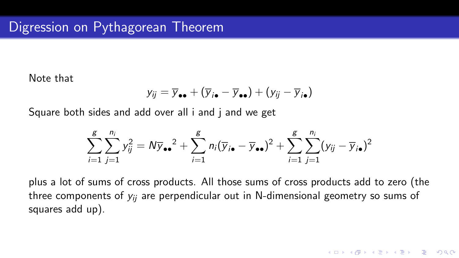Note that

$$
y_{ij} = \overline{y}_{\bullet \bullet} + (\overline{y}_{i \bullet} - \overline{y}_{\bullet \bullet}) + (y_{ij} - \overline{y}_{i \bullet})
$$

Square both sides and add over all i and j and we get

$$
\sum_{i=1}^{g}\sum_{j=1}^{n_i}y_{ij}^2=N\overline{y}_{\bullet\bullet}^2+\sum_{i=1}^{g}n_i(\overline{y}_{i\bullet}-\overline{y}_{\bullet\bullet})^2+\sum_{i=1}^{g}\sum_{j=1}^{n_i}(y_{ij}-\overline{y}_{i\bullet})^2
$$

plus a lot of sums of cross products. All those sums of cross products add to zero (the three components of  $y_{ij}$  are perpendicular out in N-dimensional geometry so sums of squares add up).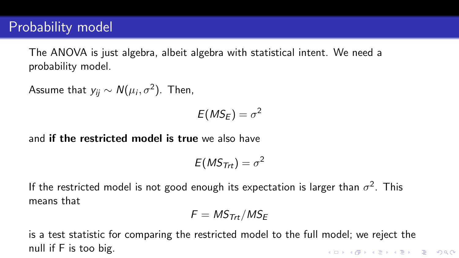# Probability model

The ANOVA is just algebra, albeit algebra with statistical intent. We need a probability model.

Assume that  $y_{ij} \sim \mathcal{N}(\mu_i, \sigma^2).$  Then,

$$
E(MS_E)=\sigma^2
$$

and if the restricted model is true we also have

$$
E(MS_{\mathsf{Trt}})=\sigma^2
$$

If the restricted model is not good enough its expectation is larger than  $\sigma^2$ . This means that

$$
F = \textit{MS}_{\textit{Trt}}/\textit{MS}_E
$$

is a test statistic for comparing the restricted model to the full model; we reject the null if F is too big.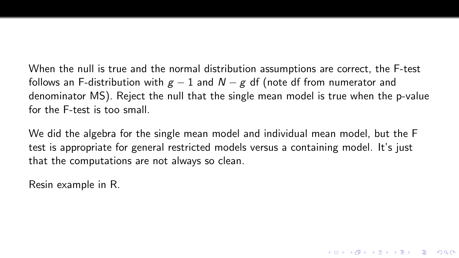When the null is true and the normal distribution assumptions are correct, the F-test follows an F-distribution with  $g - 1$  and  $N - g$  df (note df from numerator and denominator MS). Reject the null that the single mean model is true when the p-value for the F-test is too small.

We did the algebra for the single mean model and individual mean model, but the F test is appropriate for general restricted models versus a containing model. It's just that the computations are not always so clean.

**KORK STRATER STRAKES** 

Resin example in R.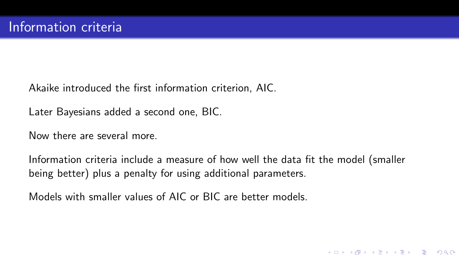Akaike introduced the first information criterion, AIC.

Later Bayesians added a second one, BIC.

Now there are several more.

Information criteria include a measure of how well the data fit the model (smaller being better) plus a penalty for using additional parameters.

**KED KAP KED KED E LOQO** 

Models with smaller values of AIC or BIC are better models.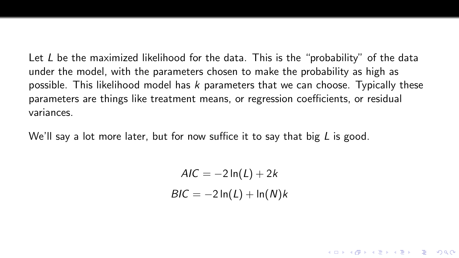Let  $L$  be the maximized likelihood for the data. This is the "probability" of the data under the model, with the parameters chosen to make the probability as high as possible. This likelihood model has  $k$  parameters that we can choose. Typically these parameters are things like treatment means, or regression coefficients, or residual variances.

We'll say a lot more later, but for now suffice it to say that big  $L$  is good.

 $AIC = -2 \ln(L) + 2k$  $BIC = -2 \ln(L) + \ln(N)k$ 

**KORK STRATER STRAKES**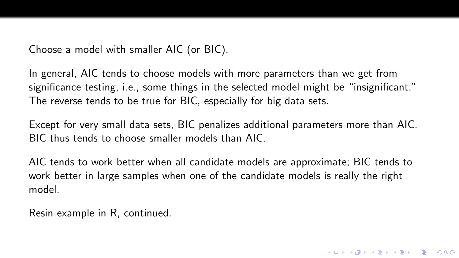Choose a model with smaller AIC (or BIC).

In general, AIC tends to choose models with more parameters than we get from significance testing, i.e., some things in the selected model might be "insignificant." The reverse tends to be true for BIC, especially for big data sets.

Except for very small data sets, BIC penalizes additional parameters more than AIC. BIC thus tends to choose smaller models than AIC.

AIC tends to work better when all candidate models are approximate; BIC tends to work better in large samples when one of the candidate models is really the right model.

Resin example in R, continued.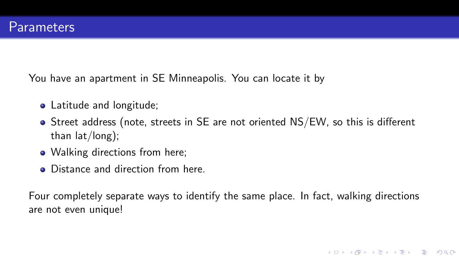You have an apartment in SE Minneapolis. You can locate it by

- Latitude and longitude;
- Street address (note, streets in SE are not oriented NS/EW, so this is different than lat/long);
- Walking directions from here;
- Distance and direction from here.

Four completely separate ways to identify the same place. In fact, walking directions are not even unique!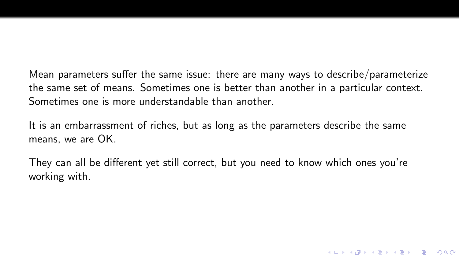Mean parameters suffer the same issue: there are many ways to describe/parameterize the same set of means. Sometimes one is better than another in a particular context. Sometimes one is more understandable than another.

It is an embarrassment of riches, but as long as the parameters describe the same means, we are OK.

They can all be different yet still correct, but you need to know which ones you're working with.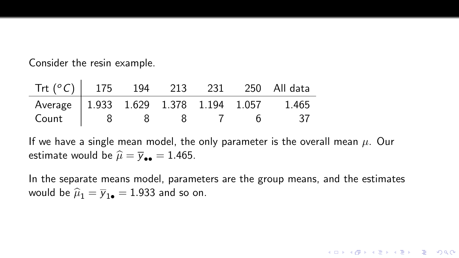Consider the resin example.

 $\mathcal{L}_{\mathcal{A}}$ 

| Trt $(^{\circ}C)$   175 194           |  | 213 231 | 250 All data |
|---------------------------------------|--|---------|--------------|
| Average 1.933 1.629 1.378 1.194 1.057 |  |         | 1.465        |
| Count                                 |  |         |              |

If we have a single mean model, the only parameter is the overall mean  $\mu$ . Our estimate would be  $\hat{\mu} = \overline{y}_{\bullet \bullet} = 1.465$ .

In the separate means model, parameters are the group means, and the estimates would be  $\hat{\mu}_1 = \overline{y}_{1\bullet} = 1.933$  and so on.

K □ ▶ K @ ▶ K 할 ▶ K 할 ▶ | 할 | K 9 Q Q ·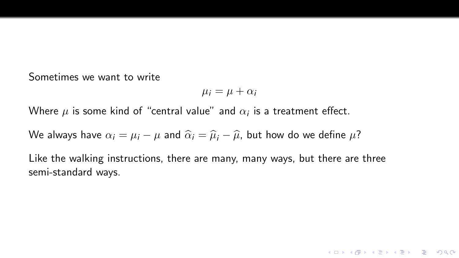Sometimes we want to write

$$
\mu_i = \mu + \alpha_i
$$

K ロ ▶ K @ ▶ K 할 X X 할 X | 할 X 1 9 Q Q ^

Where  $\mu$  is some kind of "central value" and  $\alpha_i$  is a treatment effect.

We always have  $\alpha_i = \mu_i - \mu$  and  $\hat{\alpha}_i = \hat{\mu}_i - \hat{\mu}$ , but how do we define  $\mu$ ?

Like the walking instructions, there are many, many ways, but there are three semi-standard ways.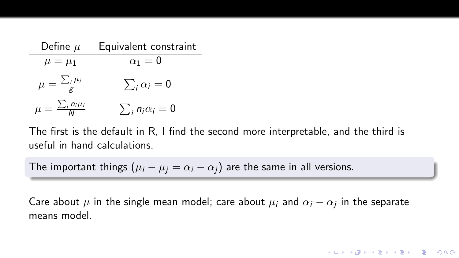| Define $\mu$                       | Equivalent constraint     |  |  |  |
|------------------------------------|---------------------------|--|--|--|
| $\mu = \mu_1$                      | $\alpha_1=0$              |  |  |  |
| $\mu = \frac{\sum_i \mu_i}{g}$     | $\sum_i \alpha_i = 0$     |  |  |  |
| $\mu = \frac{\sum_i n_i \mu_i}{N}$ | $\sum_i n_i \alpha_i = 0$ |  |  |  |

The first is the default in R, I find the second more interpretable, and the third is useful in hand calculations.

The important things  $(\mu_i - \mu_j = \alpha_i - \alpha_j)$  are the same in all versions.

Care about  $\mu$  in the single mean model; care about  $\mu_i$  and  $\alpha_i - \alpha_j$  in the separate means model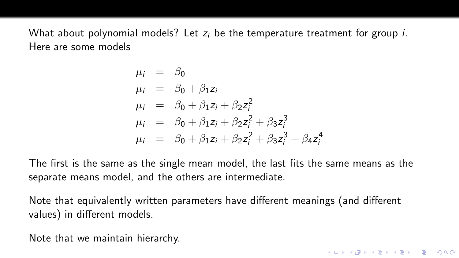What about polynomial models? Let  $z_i$  be the temperature treatment for group  $i$ . Here are some models

$$
\mu_i = \beta_0 \n\mu_i = \beta_0 + \beta_1 z_i \n\mu_i = \beta_0 + \beta_1 z_i + \beta_2 z_i^2 \n\mu_i = \beta_0 + \beta_1 z_i + \beta_2 z_i^2 + \beta_3 z_i^3 \n\mu_i = \beta_0 + \beta_1 z_i + \beta_2 z_i^2 + \beta_3 z_i^3 + \beta_4 z_i^4
$$

The first is the same as the single mean model, the last fits the same means as the separate means model, and the others are intermediate.

Note that equivalently written parameters have different meanings (and different values) in different models.

Note that we maintain hierarchy.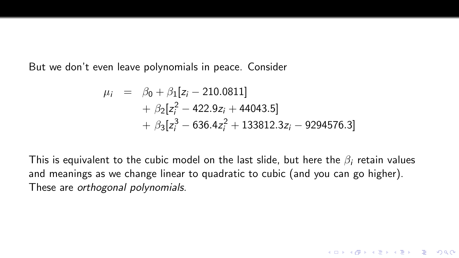But we don't even leave polynomials in peace. Consider

$$
\mu_i = \beta_0 + \beta_1 [z_i - 210.0811] \n+ \beta_2 [z_i^2 - 422.9z_i + 44043.5] \n+ \beta_3 [z_i^3 - 636.4z_i^2 + 133812.3z_i - 9294576.3]
$$

This is equivalent to the cubic model on the last slide, but here the  $\beta_i$  retain values and meanings as we change linear to quadratic to cubic (and you can go higher). These are orthogonal polynomials.